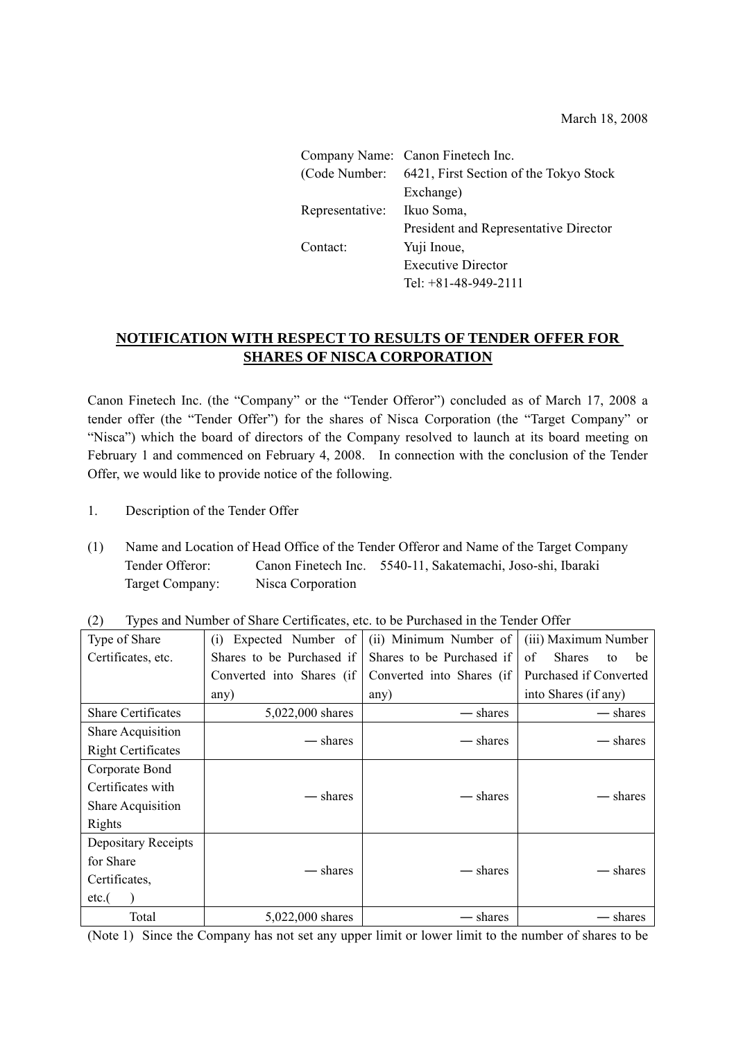March 18, 2008

|                 | Company Name: Canon Finetech Inc.                     |
|-----------------|-------------------------------------------------------|
|                 | (Code Number: 6421, First Section of the Tokyo Stock) |
|                 | Exchange)                                             |
| Representative: | Ikuo Soma,                                            |
|                 | President and Representative Director                 |
| Contact:        | Yuji Inoue,                                           |
|                 | <b>Executive Director</b>                             |
|                 | Tel: $+81-48-949-2111$                                |

## **NOTIFICATION WITH RESPECT TO RESULTS OF TENDER OFFER FOR SHARES OF NISCA CORPORATION**

Canon Finetech Inc. (the "Company" or the "Tender Offeror") concluded as of March 17, 2008 a tender offer (the "Tender Offer") for the shares of Nisca Corporation (the "Target Company" or "Nisca") which the board of directors of the Company resolved to launch at its board meeting on February 1 and commenced on February 4, 2008. In connection with the conclusion of the Tender Offer, we would like to provide notice of the following.

- 1. Description of the Tender Offer
- (1) Name and Location of Head Office of the Tender Offeror and Name of the Target Company Tender Offeror: Canon Finetech Inc. 5540-11, Sakatemachi, Joso-shi, Ibaraki Target Company: Nisca Corporation

| Type of Share              | Expected Number of<br>(1)                              | (ii) Minimum Number of    | (iii) Maximum Number            |  |
|----------------------------|--------------------------------------------------------|---------------------------|---------------------------------|--|
| Certificates, etc.         | Shares to be Purchased if<br>Shares to be Purchased if |                           | of<br><b>Shares</b><br>be<br>to |  |
|                            | Converted into Shares (if                              | Converted into Shares (if | Purchased if Converted          |  |
|                            | any)                                                   | any)                      | into Shares (if any)            |  |
| <b>Share Certificates</b>  | 5,022,000 shares                                       | — shares                  | — shares                        |  |
| <b>Share Acquisition</b>   |                                                        |                           |                                 |  |
| <b>Right Certificates</b>  | — shares                                               | — shares                  | — shares                        |  |
| Corporate Bond             |                                                        |                           |                                 |  |
| Certificates with          |                                                        | — shares                  |                                 |  |
| <b>Share Acquisition</b>   | — shares                                               |                           | — shares                        |  |
| Rights                     |                                                        |                           |                                 |  |
| <b>Depositary Receipts</b> |                                                        |                           |                                 |  |
| for Share                  | — shares                                               | — shares                  |                                 |  |
| Certificates,              |                                                        |                           | — shares                        |  |
| etc.(                      |                                                        |                           |                                 |  |
| Total                      | 5,022,000 shares                                       | – shares                  | – shares                        |  |

(2) Types and Number of Share Certificates, etc. to be Purchased in the Tender Offer

(Note 1) Since the Company has not set any upper limit or lower limit to the number of shares to be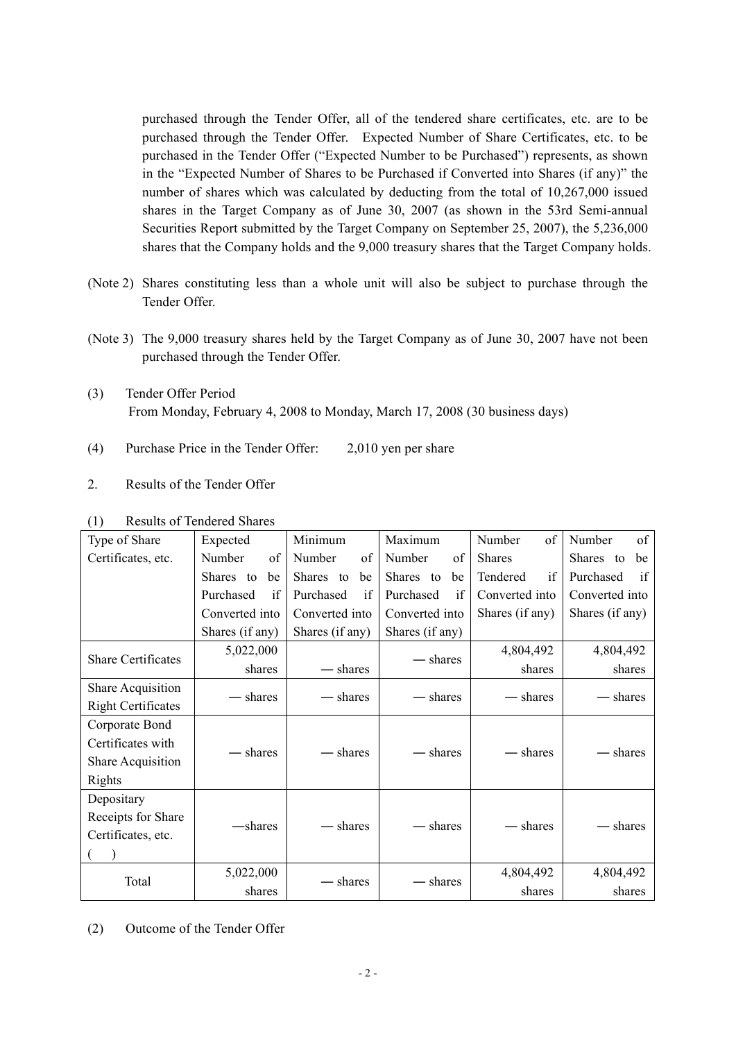purchased through the Tender Offer, all of the tendered share certificates, etc. are to be purchased through the Tender Offer. Expected Number of Share Certificates, etc. to be purchased in the Tender Offer ("Expected Number to be Purchased") represents, as shown in the "Expected Number of Shares to be Purchased if Converted into Shares (if any)" the number of shares which was calculated by deducting from the total of 10,267,000 issued shares in the Target Company as of June 30, 2007 (as shown in the 53rd Semi-annual Securities Report submitted by the Target Company on September 25, 2007), the 5,236,000 shares that the Company holds and the 9,000 treasury shares that the Target Company holds.

- (Note 2) Shares constituting less than a whole unit will also be subject to purchase through the Tender Offer.
- (Note 3) The 9,000 treasury shares held by the Target Company as of June 30, 2007 have not been purchased through the Tender Offer.
- (3) Tender Offer Period From Monday, February 4, 2008 to Monday, March 17, 2008 (30 business days)
- (4) Purchase Price in the Tender Offer: 2,010 yen per share
- 2. Results of the Tender Offer

| Type of Share             | Minimum<br>Expected |                 | Maximum         | Number<br>of    | Number<br>of    |
|---------------------------|---------------------|-----------------|-----------------|-----------------|-----------------|
| Certificates, etc.        | Number<br>of        | Number<br>of    | Number<br>of    | <b>Shares</b>   | Shares to<br>be |
|                           | Shares to<br>be     | Shares to<br>be | Shares to<br>be | if<br>Tendered  | Purchased<br>if |
|                           | Purchased<br>if     | Purchased<br>if | Purchased<br>if | Converted into  | Converted into  |
|                           | Converted into      | Converted into  | Converted into  | Shares (if any) | Shares (if any) |
|                           | Shares (if any)     | Shares (if any) | Shares (if any) |                 |                 |
| <b>Share Certificates</b> | 5,022,000           |                 |                 | 4,804,492       | 4,804,492       |
|                           | shares              | — shares        | — shares        | shares          | shares          |
| Share Acquisition         |                     |                 |                 |                 | — shares        |
| <b>Right Certificates</b> | — shares            | — shares        | — shares        | — shares        |                 |
| Corporate Bond            |                     |                 |                 |                 |                 |
| Certificates with         |                     |                 |                 | - shares        |                 |
| <b>Share Acquisition</b>  | - shares            | — shares        | — shares        |                 | - shares        |
| Rights                    |                     |                 |                 |                 |                 |
| Depositary                |                     |                 |                 |                 |                 |
| Receipts for Share        |                     |                 |                 |                 |                 |
| Certificates, etc.        | —shares             | - shares        | - shares        | - shares        | shares          |
|                           |                     |                 |                 |                 |                 |
| Total                     | 5,022,000           |                 |                 | 4,804,492       | 4,804,492       |
|                           | shares              | - shares        | - shares        | shares          | shares          |

(1) Results of Tendered Shares

(2) Outcome of the Tender Offer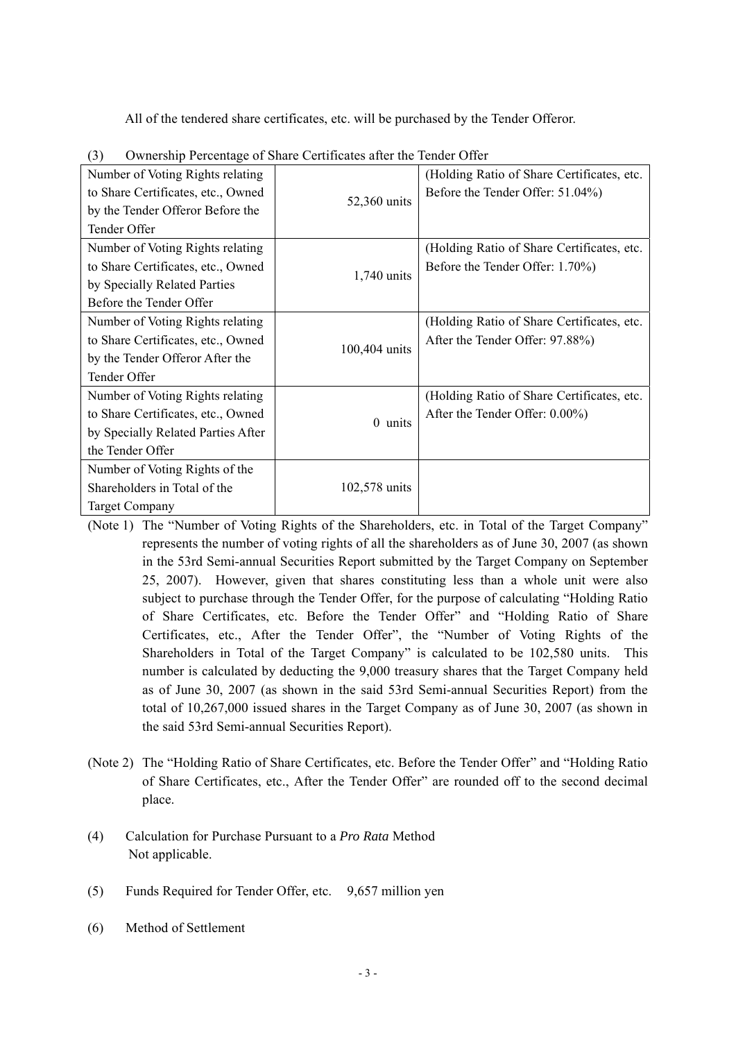All of the tendered share certificates, etc. will be purchased by the Tender Offeror.

| Number of Voting Rights relating<br>to Share Certificates, etc., Owned | 52,360 units  | (Holding Ratio of Share Certificates, etc.)<br>Before the Tender Offer: 51.04%) |
|------------------------------------------------------------------------|---------------|---------------------------------------------------------------------------------|
| by the Tender Offeror Before the                                       |               |                                                                                 |
| Tender Offer                                                           |               |                                                                                 |
| Number of Voting Rights relating                                       |               | (Holding Ratio of Share Certificates, etc.                                      |
| to Share Certificates, etc., Owned                                     |               | Before the Tender Offer: 1.70%)                                                 |
| by Specially Related Parties                                           | 1,740 units   |                                                                                 |
| Before the Tender Offer                                                |               |                                                                                 |
| Number of Voting Rights relating                                       |               | (Holding Ratio of Share Certificates, etc.)                                     |
| to Share Certificates, etc., Owned                                     |               | After the Tender Offer: 97.88%)                                                 |
| by the Tender Offeror After the                                        | 100,404 units |                                                                                 |
| Tender Offer                                                           |               |                                                                                 |
| Number of Voting Rights relating                                       |               | (Holding Ratio of Share Certificates, etc.                                      |
| to Share Certificates, etc., Owned                                     |               | After the Tender Offer: 0.00%)                                                  |
| by Specially Related Parties After                                     | $0$ units     |                                                                                 |
| the Tender Offer                                                       |               |                                                                                 |
| Number of Voting Rights of the                                         |               |                                                                                 |
| Shareholders in Total of the                                           | 102,578 units |                                                                                 |
| <b>Target Company</b>                                                  |               |                                                                                 |

(3) Ownership Percentage of Share Certificates after the Tender Offer

(Note 1) The "Number of Voting Rights of the Shareholders, etc. in Total of the Target Company" represents the number of voting rights of all the shareholders as of June 30, 2007 (as shown in the 53rd Semi-annual Securities Report submitted by the Target Company on September 25, 2007). However, given that shares constituting less than a whole unit were also subject to purchase through the Tender Offer, for the purpose of calculating "Holding Ratio of Share Certificates, etc. Before the Tender Offer" and "Holding Ratio of Share Certificates, etc., After the Tender Offer", the "Number of Voting Rights of the Shareholders in Total of the Target Company" is calculated to be 102,580 units. This number is calculated by deducting the 9,000 treasury shares that the Target Company held as of June 30, 2007 (as shown in the said 53rd Semi-annual Securities Report) from the total of 10,267,000 issued shares in the Target Company as of June 30, 2007 (as shown in the said 53rd Semi-annual Securities Report).

- (Note 2) The "Holding Ratio of Share Certificates, etc. Before the Tender Offer" and "Holding Ratio of Share Certificates, etc., After the Tender Offer" are rounded off to the second decimal place.
- (4) Calculation for Purchase Pursuant to a *Pro Rata* Method Not applicable.
- (5) Funds Required for Tender Offer, etc. 9,657 million yen
- (6) Method of Settlement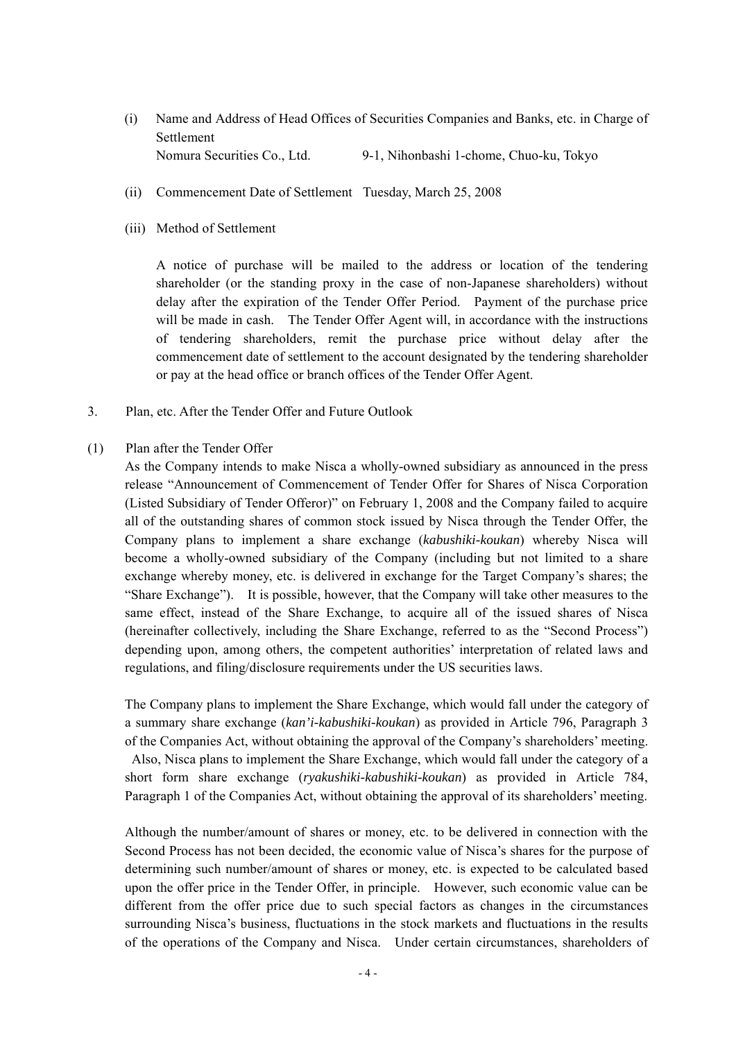- (i) Name and Address of Head Offices of Securities Companies and Banks, etc. in Charge of Settlement Nomura Securities Co., Ltd. 9-1, Nihonbashi 1-chome, Chuo-ku, Tokyo
- (ii) Commencement Date of Settlement Tuesday, March 25, 2008
- (iii) Method of Settlement

A notice of purchase will be mailed to the address or location of the tendering shareholder (or the standing proxy in the case of non-Japanese shareholders) without delay after the expiration of the Tender Offer Period. Payment of the purchase price will be made in cash. The Tender Offer Agent will, in accordance with the instructions of tendering shareholders, remit the purchase price without delay after the commencement date of settlement to the account designated by the tendering shareholder or pay at the head office or branch offices of the Tender Offer Agent.

- 3. Plan, etc. After the Tender Offer and Future Outlook
- (1) Plan after the Tender Offer

As the Company intends to make Nisca a wholly-owned subsidiary as announced in the press release "Announcement of Commencement of Tender Offer for [Shares of Nisca Corporation](http://www.topcon.co.jp/eng/press/p30005.html)  [\(Listed Subsidiary of Tender Offeror\)"](http://www.topcon.co.jp/eng/press/p30005.html) on February 1, 2008 and the Company failed to acquire all of the outstanding shares of common stock issued by Nisca through the Tender Offer, the Company plans to implement a share exchange (*kabushiki-koukan*) whereby Nisca will become a wholly-owned subsidiary of the Company (including but not limited to a share exchange whereby money, etc. is delivered in exchange for the Target Company's shares; the "Share Exchange"). It is possible, however, that the Company will take other measures to the same effect, instead of the Share Exchange, to acquire all of the issued shares of Nisca (hereinafter collectively, including the Share Exchange, referred to as the "Second Process") depending upon, among others, the competent authorities' interpretation of related laws and regulations, and filing/disclosure requirements under the US securities laws.

The Company plans to implement the Share Exchange, which would fall under the category of a summary share exchange (*kan'i-kabushiki-koukan*) as provided in Article 796, Paragraph 3 of the Companies Act, without obtaining the approval of the Company's shareholders' meeting. Also, Nisca plans to implement the Share Exchange, which would fall under the category of a short form share exchange (*ryakushiki-kabushiki-koukan*) as provided in Article 784, Paragraph 1 of the Companies Act, without obtaining the approval of its shareholders' meeting.

Although the number/amount of shares or money, etc. to be delivered in connection with the Second Process has not been decided, the economic value of Nisca's shares for the purpose of determining such number/amount of shares or money, etc. is expected to be calculated based upon the offer price in the Tender Offer, in principle. However, such economic value can be different from the offer price due to such special factors as changes in the circumstances surrounding Nisca's business, fluctuations in the stock markets and fluctuations in the results of the operations of the Company and Nisca. Under certain circumstances, shareholders of